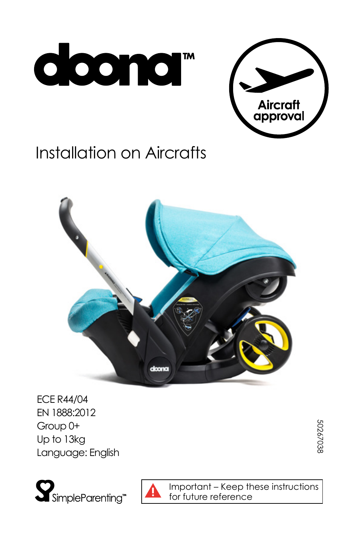



# **Installation on Aircrafts**



**ECE R44/04** EN 1888:2012 Group 0+ Up to 13kg Language: English

 ${\bf S}$ SimpleParenting<sup>®</sup>



Important - Keep these instructions for future reference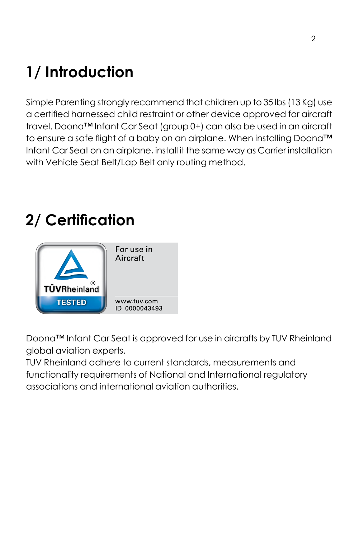## **Introduction 1/**

Simple Parenting strongly recommend that children up to 35 lbs (13 Kg) use a certified harnessed child restraint or other device approved for aircraft travel. Doona™ Infant Car Seat (group 0+) can also be used in an aircraft to ensure a safe flight of a baby on an airplane. When installing Doona<sup>TM</sup> Infant Car Seat on an airplane, install it the same way as Carrier installation with Vehicle Seat Belt/Lap Belt only routing method.

## **Certification 2/**



Doona™ Infant Car Seat is approved for use in aircrafts by TUV Rheinland alobal aviation experts.

TUV Rheinland adhere to current standards, measurements and functionality requirements of National and International requlatory .authorities aviation international and associations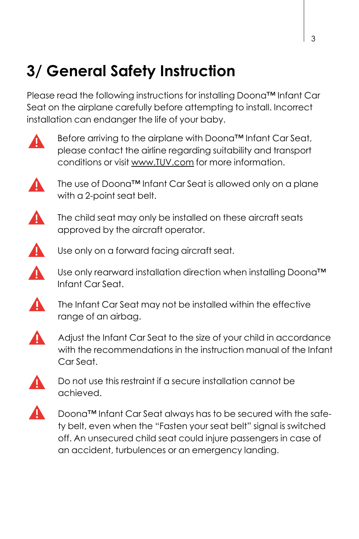#### **Instruction Safety General 3/**

Please read the following instructions for installing Doona™ Infant Car Seat on the airplane carefully before attempting to install, Incorrect installation can endanger the life of your baby.



Before arriving to the airplane with Doona<sup>™</sup> Infant Car Seat. please contact the airline regarding suitability and transport conditions or visit www.TUV.com for more information.



The use of Doona™ Infant Car Seat is allowed only on a plane with a 2-point seat belt.

▲ The child seat may only be installed on these aircraft seats approved by the aircraft operator.



Use only on a forward facing gircraft seat.

 $\blacktriangle$ Use only rearward installation direction when installing Doona™ .Seat Car Infant



The Infant Car Seat may not be installed within the effective range of an airbag.



Adjust the Infant Car Seat to the size of your child in accordance with the recommendations in the instruction manual of the Infant Car Seat



Do not use this restraint if a secure installation cannot be .achieved



ty belt, even when the "Fasten your seat belt" signal is switched Doona™ Infant Car Seat always has to be secured with the safeoff. An unsecured child seat could injure passengers in case of an accident, turbulences or an emergency landing.